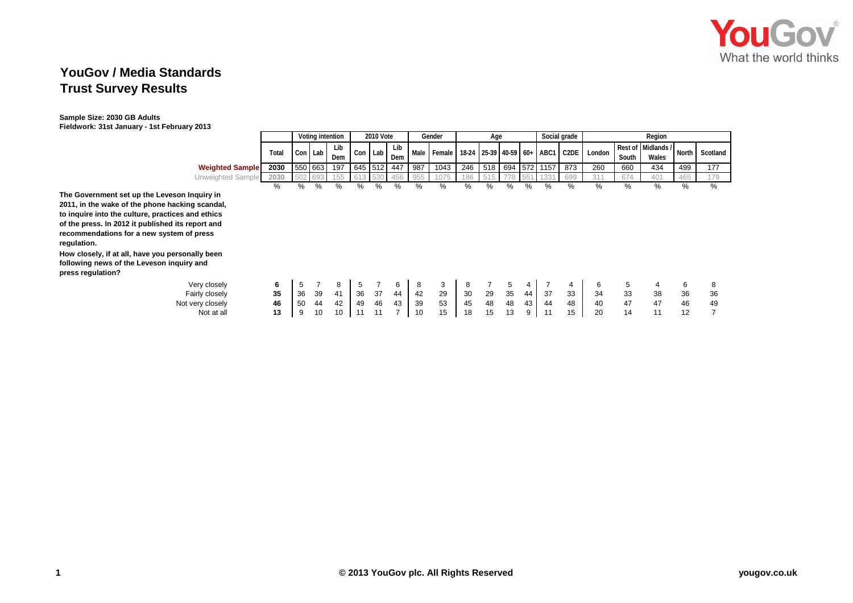

## **YouGov / Media Standards Trust Survey Results**

## **Sample Size: 2030 GB Adults Fieldwork: 31st January - 1st February 2013**

|                                                                                                                                                                                                                                                                                                                                                                                             |       |    |         | Voting intention |         | 2010 Vote |            |     | Gender      |     | Age |    |                |                                 | Social grade |        |       | Region                      |       |          |
|---------------------------------------------------------------------------------------------------------------------------------------------------------------------------------------------------------------------------------------------------------------------------------------------------------------------------------------------------------------------------------------------|-------|----|---------|------------------|---------|-----------|------------|-----|-------------|-----|-----|----|----------------|---------------------------------|--------------|--------|-------|-----------------------------|-------|----------|
|                                                                                                                                                                                                                                                                                                                                                                                             | Total |    | Con Lab | Lib<br>Dem       | Con     | Lab       | Lib<br>Dem |     | Male Female |     |     |    |                | 18-24 25-39 40-59 60+ ABC1 C2DE |              | London | South | Rest of Midlands /<br>Wales | North | Scotland |
| <b>Weighted Sample</b>                                                                                                                                                                                                                                                                                                                                                                      | 2030  |    | 550 663 | 197              | 645 512 |           | 447        | 987 | 1043        | 246 | 518 |    |                | 694 572 1157                    | 873          | 260    | 660   | 434                         | 499   | 177      |
| Unweighted Sample                                                                                                                                                                                                                                                                                                                                                                           | 2030  |    |         | 155              |         |           | 456        | 955 |             | 186 |     |    |                |                                 | 699          | 31'    | 674   | 401                         | 465   | 179      |
|                                                                                                                                                                                                                                                                                                                                                                                             | $\%$  | %  | %       | %                | ℅       | $\%$      | %          | %   | %           | %   | %   | %  | ℅              | $\%$                            | %            | %      | ℅     | %                           | %     | %        |
| The Government set up the Leveson Inquiry in<br>2011, in the wake of the phone hacking scandal,<br>to inquire into the culture, practices and ethics<br>of the press. In 2012 it published its report and<br>recommendations for a new system of press<br>regulation.<br>How closely, if at all, have you personally been<br>following news of the Leveson inquiry and<br>press regulation? |       |    |         |                  |         |           |            |     |             |     |     |    |                |                                 |              |        |       |                             |       |          |
| Very closely                                                                                                                                                                                                                                                                                                                                                                                | 6     | 5  |         | 8                | 5       |           | 6          | 8   | 3           | 8   |     | 5  | $\overline{4}$ |                                 | 4            | 6      | 5     | 4                           | 6     | 8        |
| Fairly closely                                                                                                                                                                                                                                                                                                                                                                              | 35    | 36 | 39      | 41               | 36      | 37        | 44         | 42  | 29          | 30  | 29  | 35 | 44             | 37                              | 33           | 34     | 33    | 38                          | 36    | 36       |
| Not very closely                                                                                                                                                                                                                                                                                                                                                                            | 46    | 50 | 44      | 42               | 49      | 46        | 43         | 39  | 53          | 45  | 48  | 48 | 43             | 44                              | 48           | 40     | 47    | 47                          | 46    | 49       |
| Not at all                                                                                                                                                                                                                                                                                                                                                                                  | 13    | 9  | 10      | 10               |         |           |            | 10  | 15          | 18  | 15  | 13 | 9              | 11                              | 15           | 20     | 14    | 11                          | 12    |          |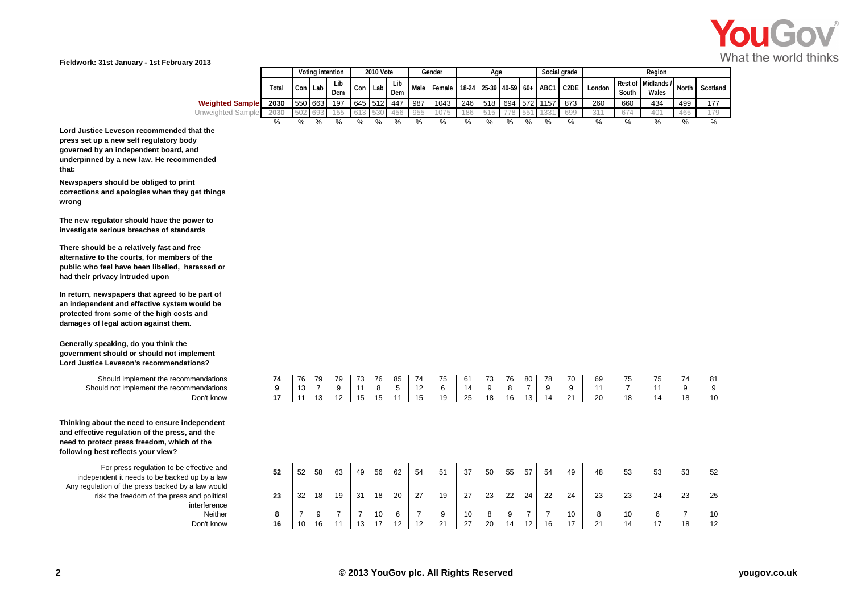

|                        |       |         |         | Votina intention |               | 2010 Vote |            |             | Gender                                             |     | Age |     |       |          | Social grade |        |       | Reaion                      |       |          |
|------------------------|-------|---------|---------|------------------|---------------|-----------|------------|-------------|----------------------------------------------------|-----|-----|-----|-------|----------|--------------|--------|-------|-----------------------------|-------|----------|
|                        | Total |         | Con Lab | Lib<br>Dem       | Con           | l Lab     | Lib<br>Dem | <b>Male</b> | Female   18-24   25-39   40-59   60+   ABC1   C2DE |     |     |     |       |          |              | London | South | Rest of Midlands /<br>Wales | North | Scotland |
| <b>Weighted Sample</b> | 2030  | 550 663 |         | 197              | 645 512       |           | 447        | 987         | 1043                                               | 246 | 518 | 694 |       | 572 1157 | 873          | 260    | 660   | 434                         | 499   | 177      |
| Unweighted Sample      | 2030  | $-502$  | 69      | 155              |               |           | 456        | 955         |                                                    | 186 | 515 |     | - 広広く |          | 699          | 311    |       |                             | 465   | 179      |
|                        |       | %       | %       | %                | $\frac{0}{0}$ | %         | %          | %           |                                                    | %   | %   | %   | %     | %        | %            |        | $\%$  |                             |       | %        |

**Lord Justice Leveson recommended that the press set up a new self regulatory body governed by an independent board, and underpinned by a new law. He recommended that:**

**Newspapers should be obliged to print corrections and apologies when they get things wrong**

**The new regulator should have the power to investigate serious breaches of standards**

**There should be a relatively fast and free alternative to the courts, for members of the public who feel have been libelled, harassed or had their privacy intruded upon**

**In return, newspapers that agreed to be part of an independent and effective system would be protected from some of the high costs and damages of legal action against them.**

**Generally speaking, do you think the government should or should not implement Lord Justice Leveson's recommendations?**

> Should implement the recommendations Should not implement the recommendations

**Thinking about the need to ensure independent and effective regulation of the press, and the need to protect press freedom, which of the following best reflects your view?**

For press regulation to be effective and independent it needs to be backed up by a law Any regulation of the press backed by a law would risk the freedom of the press and political interference Don't know **16** 10 16 11 13 17 12 12 21 27 20 14 12 16 17 21 14 17 18 12

| nendations                                | 74 | 76 | 79 | 79             | 73 | 76 | 85 | 74 | 75 | 61 | 73 | 76 | 80              | 78 | 70 | 69 | 75             | 75 | 74             | 81 |
|-------------------------------------------|----|----|----|----------------|----|----|----|----|----|----|----|----|-----------------|----|----|----|----------------|----|----------------|----|
| nendations                                | 9  | 13 |    | 9              | 11 | 8  | 5  | 12 | 6  | 14 | 9  | 8  | 7               | 9  | 9  | 11 | $\overline{7}$ | 11 | 9              | 9  |
| Don't know                                | 17 | 11 | 13 | 12             | 15 | 15 | 11 | 15 | 19 | 25 | 18 | 16 | 13 <sub>1</sub> | 14 | 21 | 20 | 18             | 14 | 18             | 10 |
| ependent<br>ınd the<br>of the             |    |    |    |                |    |    |    |    |    |    |    |    |                 |    |    |    |                |    |                |    |
| fective and<br>up by a law<br>a law would | 52 | 52 | 58 | 63             | 49 | 56 | 62 | 54 | 51 | 37 | 50 | 55 | 57              | 54 | 49 | 48 | 53             | 53 | 53             | 52 |
| and political<br>nterference              | 23 | 32 | 18 | 19             | 31 | 18 | 20 | 27 | 19 | 27 | 23 | 22 | 24              | 22 | 24 | 23 | 23             | 24 | 23             | 25 |
| Neither                                   | 8  |    | 9  | $\overline{ }$ | 7  | 10 | 6  | 7  | 9  | 10 | 8  | 9  | 7               |    | 10 | 8  | 10             | 6  | $\overline{7}$ | 10 |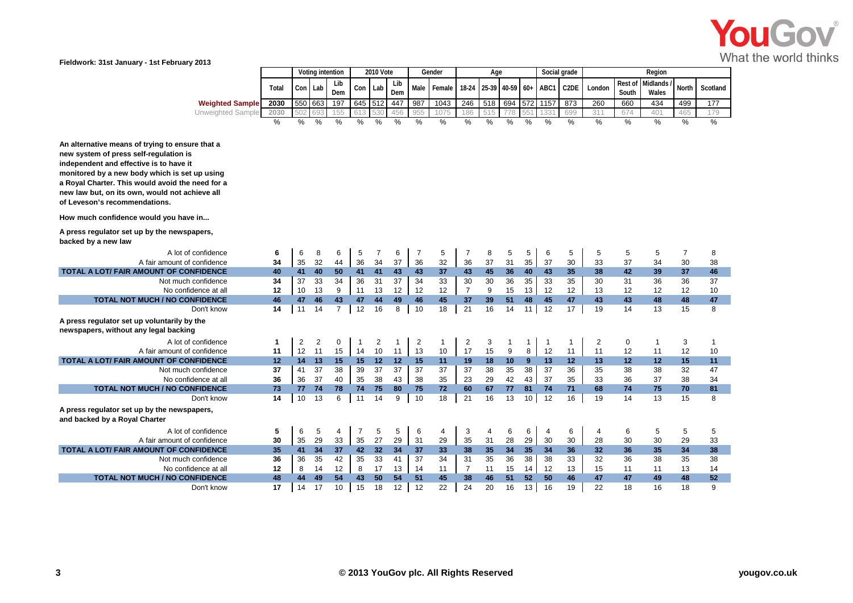

|                                                                                                                                                                                                                                                                                                                              |               |                | Voting intention |                |                | <b>2010 Vote</b> |               |                | Gender        |                | Age           |             |              |               | Social grade      |               |               | Region                    |                |          |
|------------------------------------------------------------------------------------------------------------------------------------------------------------------------------------------------------------------------------------------------------------------------------------------------------------------------------|---------------|----------------|------------------|----------------|----------------|------------------|---------------|----------------|---------------|----------------|---------------|-------------|--------------|---------------|-------------------|---------------|---------------|---------------------------|----------------|----------|
|                                                                                                                                                                                                                                                                                                                              | Total         | Con            | Lab              | Lib<br>Dem     | Con            | Lab              | Lib<br>Dem    | Male           | Female I      | 18-24          |               | 25-39 40-59 |              | $60+$ ABC1    | C <sub>2</sub> DE | London        | South         | Rest of Midlands<br>Wales | <b>North</b>   | Scotland |
| <b>Weighted Sample</b>                                                                                                                                                                                                                                                                                                       | 2030          | 550            | 663              | 197            | 645 512        |                  | 447           | 987            | 1043          | 246            | 518           | 694         | 572          | 1157          | 873               | 260           | 660           | 434                       | 499            | 177      |
| <b>Unweighted Sample</b>                                                                                                                                                                                                                                                                                                     | 2030          |                |                  | 155            | 613            |                  | 456           | 955            | 1075          | 186            | 515           | 778         |              | 1331          | 699               | 311           | 674           | 401                       | 465            | 179      |
|                                                                                                                                                                                                                                                                                                                              | $\frac{0}{0}$ | %              | %                | $\frac{0}{2}$  | $\frac{0}{2}$  | %                | $\frac{0}{0}$ | $\frac{0}{0}$  | $\frac{0}{0}$ | $\frac{0}{2}$  | $\frac{0}{2}$ | %           | %            | $\frac{0}{0}$ | $\frac{9}{6}$     | $\frac{9}{6}$ | $\frac{9}{6}$ | $\frac{0}{2}$             | $\frac{0}{2}$  | %        |
| An alternative means of trying to ensure that a<br>new system of press self-regulation is<br>independent and effective is to have it<br>monitored by a new body which is set up using<br>a Royal Charter. This would avoid the need for a<br>new law but, on its own, would not achieve all<br>of Leveson's recommendations. |               |                |                  |                |                |                  |               |                |               |                |               |             |              |               |                   |               |               |                           |                |          |
| How much confidence would you have in                                                                                                                                                                                                                                                                                        |               |                |                  |                |                |                  |               |                |               |                |               |             |              |               |                   |               |               |                           |                |          |
| A press regulator set up by the newspapers,<br>backed by a new law                                                                                                                                                                                                                                                           |               |                |                  |                |                |                  |               |                |               |                |               |             |              |               |                   |               |               |                           |                |          |
| A lot of confidence                                                                                                                                                                                                                                                                                                          | 6             | 6              | 8                | 6              | 5              | $\overline{7}$   | 6             | $\overline{7}$ | 5             | $\overline{7}$ | 8             | 5           | 5            | 6             | 5                 | 5             | 5             | 5                         | $\overline{7}$ | 8        |
| A fair amount of confidence                                                                                                                                                                                                                                                                                                  | 34            | 35             | 32               | 44             | 36             | 34               | 37            | 36             | 32            | 36             | 37            | 31          | 35           | 37            | 30                | 33            | 37            | 34                        | 30             | 38       |
| TOTAL A LOT/ FAIR AMOUNT OF CONFIDENCE                                                                                                                                                                                                                                                                                       | 40            | 41             | 40               | 50             | 41             | 41               | 43            | 43             | 37            | 43             | 45            | 36          | 40           | 43            | 35                | 38            | 42            | 39                        | 37             | 46       |
| Not much confidence                                                                                                                                                                                                                                                                                                          | 34            | 37             | 33               | 34             | 36             | 31               | 37            | 34             | 33            | 30             | 30            | 36          | 35           | 33            | 35                | 30            | 31            | 36                        | 36             | 37       |
| No confidence at all                                                                                                                                                                                                                                                                                                         | 12            | 10             | 13               | 9              | 11             | 13               | 12            | 12             | 12            | $\overline{7}$ | 9             | 15          | 13           | 12            | 12                | 13            | 12            | 12                        | 12             | 10       |
| <b>TOTAL NOT MUCH / NO CONFIDENCE</b>                                                                                                                                                                                                                                                                                        | 46            | 47             | 46               | 43             | 47             | 44               | 49            | 46             | 45            | 37             | 39            | 51          | 48           | 45            | 47                | 43            | 43            | 48                        | 48             | 47       |
| Don't know                                                                                                                                                                                                                                                                                                                   | 14            | 11             | 14               | $\overline{7}$ | 12             | 16               | 8             | 10             | 18            | 21             | 16            | 14          | 11           | 12            | 17                | 19            | 14            | 13                        | 15             | 8        |
| A press regulator set up voluntarily by the<br>newspapers, without any legal backing                                                                                                                                                                                                                                         |               |                |                  |                |                |                  |               |                |               |                |               |             |              |               |                   |               |               |                           |                |          |
| A lot of confidence                                                                                                                                                                                                                                                                                                          | $\mathbf 1$   | $\overline{2}$ | $\overline{2}$   | 0              | $\mathbf{1}$   | $\overline{2}$   | 1             | $\overline{2}$ | $\mathbf{1}$  | 2              | 3             | 1           | $\mathbf{1}$ | $\mathbf{1}$  | 1                 | 2             | $\mathbf 0$   | -1                        | 3              | 1        |
| A fair amount of confidence                                                                                                                                                                                                                                                                                                  | 11            | 12             | 11               | 15             | 14             | 10               | 11            | 13             | 10            | 17             | 15            | 9           | 8            | 12            | 11                | 11            | 12            | 11                        | 12             | 10       |
| TOTAL A LOT/ FAIR AMOUNT OF CONFIDENCE                                                                                                                                                                                                                                                                                       | 12            | 14             | 13               | 15             | 15             | 12               | 12            | 15             | 11            | 19             | 18            | 10          | 9            | 13            | 12                | 13            | 12            | 12                        | 15             | 11       |
| Not much confidence                                                                                                                                                                                                                                                                                                          | 37            | 41             | 37               | 38             | 39             | 37               | 37            | 37             | 37            | 37             | 38            | 35          | 38           | 37            | 36                | 35            | 38            | 38                        | 32             | 47       |
| No confidence at all                                                                                                                                                                                                                                                                                                         | 36            | 36             | 37               | 40             | 35             | 38               | 43            | 38             | 35            | 23             | 29            | 42          | 43           | 37            | 35                | 33            | 36            | 37                        | 38             | 34       |
| <b>TOTAL NOT MUCH / NO CONFIDENCE</b>                                                                                                                                                                                                                                                                                        | 73            | 77             | 74               | 78             | 74             | 75               | 80            | 75             | 72            | 60             | 67            | 77          | 81           | 74            | 71                | 68            | 74            | 75                        | 70             | 81       |
| Don't know                                                                                                                                                                                                                                                                                                                   | 14            | 10             | 13               | 6              | 11             | 14               | 9             | 10             | 18            | 21             | 16            | 13          | 10           | 12            | 16                | 19            | 14            | 13                        | 15             | 8        |
| A press regulator set up by the newspapers,<br>and backed by a Royal Charter                                                                                                                                                                                                                                                 |               |                |                  |                |                |                  |               |                |               |                |               |             |              |               |                   |               |               |                           |                |          |
| A lot of confidence                                                                                                                                                                                                                                                                                                          | 5             | 6              | 5                | 4              | $\overline{7}$ | 5                | 5             | 6              | 4             | 3              | 4             | 6           | 6            | 4             | 6                 | 4             | 6             | 5                         | 5              | 5        |
| A fair amount of confidence                                                                                                                                                                                                                                                                                                  | 30            | 35             | 29               | 33             | 35             | 27               | 29            | 31             | 29            | 35             | 31            | 28          | 29           | 30            | 30                | 28            | 30            | 30                        | 29             | 33       |
| <b>TOTAL A LOT/ FAIR AMOUNT OF CONFIDENCE</b>                                                                                                                                                                                                                                                                                | 35            | 41             | 34               | 37             | 42             | 32 <sub>2</sub>  | 34            | 37             | 33            | 38             | 35            | 34          | 35           | 34            | 36                | 32            | 36            | 35                        | 34             | 38       |
| Not much confidence                                                                                                                                                                                                                                                                                                          | 36            | 36             | 35               | 42             | 35             | 33               | 41            | 37             | 34            | 31             | 35            | 36          | 38           | 38            | 33                | 32            | 36            | 38                        | 35             | 38       |
| No confidence at all                                                                                                                                                                                                                                                                                                         | 12            | 8              | 14               | 12             | 8              | 17               | 13            | 14             | 11            | $\overline{7}$ | 11            | 15          | 14           | 12            | 13                | 15            | 11            | 11                        | 13             | 14       |
| <b>TOTAL NOT MUCH / NO CONFIDENCE</b>                                                                                                                                                                                                                                                                                        | 48            | 44             | 49               | 54             | 43             | 50               | 54            | 51             | 45            | 38             | 46            | 51          | 52           | 50            | 46                | 47            | 47            | 49                        | 48             | 52       |
| Don't know                                                                                                                                                                                                                                                                                                                   | 17            | 14             | 17               | 10             | 15             | 18               | 12            | 12             | 22            | 24             | 20            | 16          | 13           | 16            | 19                | 22            | 18            | 16                        | 18             | 9        |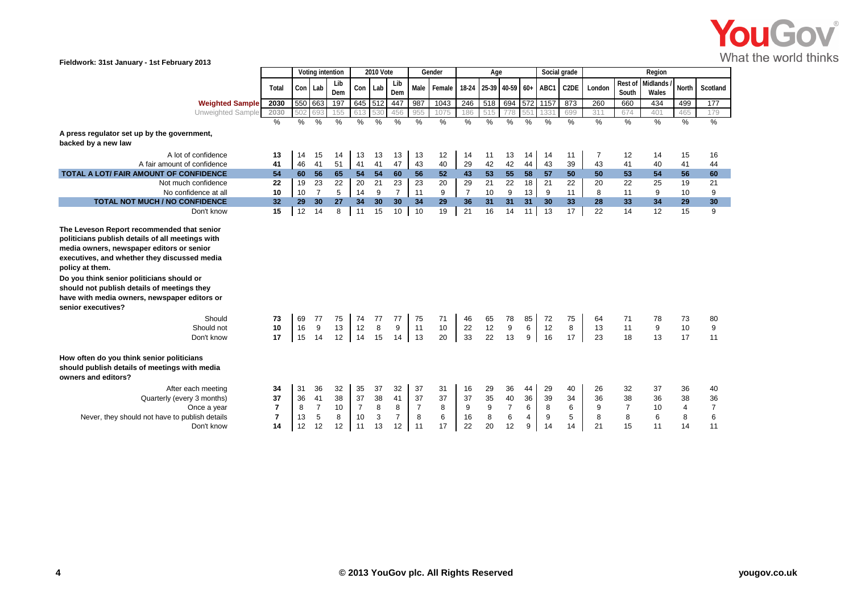

|                                                                                                                                                                                                                                                                                                                                                                          |                      |                | Voting intention     |                |                      | <b>2010 Vote</b> |                     |                      | Gender         |                | Age            |                      |                 | Social grade   |                   |                |                      | Region            |                |                      |
|--------------------------------------------------------------------------------------------------------------------------------------------------------------------------------------------------------------------------------------------------------------------------------------------------------------------------------------------------------------------------|----------------------|----------------|----------------------|----------------|----------------------|------------------|---------------------|----------------------|----------------|----------------|----------------|----------------------|-----------------|----------------|-------------------|----------------|----------------------|-------------------|----------------|----------------------|
|                                                                                                                                                                                                                                                                                                                                                                          | Total                | Con            | Lab                  | Lib<br>Dem     | Con                  | Lab              | Lib<br>Dem          | <b>Male</b>          | Female         | $18-24$        |                | 25-39 40-59 60+      |                 | ABC1           | C <sub>2</sub> DE | London         | Rest of<br>South     | Midlands<br>Wales | North          | Scotland             |
| <b>Weighted Sample</b>                                                                                                                                                                                                                                                                                                                                                   | 2030                 |                | 550 663              | 197            |                      | 645 512          | 447                 | 987                  | 1043           | 246            | 518            | 694                  | 572             | 1157           | 873               | 260            | 660                  | 434               | 499            | 177                  |
| <b>Unweighted Sample</b>                                                                                                                                                                                                                                                                                                                                                 | 2030                 | 502            | 693                  | 155            | 613                  |                  | 456                 | 955                  | 1075           | 186            | 515            | 778                  | 551             | 133'           | 699               | 311            | 674                  | 401               | 465            | 179                  |
|                                                                                                                                                                                                                                                                                                                                                                          | $\frac{0}{0}$        | %              | %                    | %              | %                    | %                | $\%$                | %                    | %              | %              | $\%$           | %                    | %               | %              | %                 | %              | %                    | %                 | %              | %                    |
| A press regulator set up by the government,<br>backed by a new law                                                                                                                                                                                                                                                                                                       |                      |                |                      |                |                      |                  |                     |                      |                |                |                |                      |                 |                |                   |                |                      |                   |                |                      |
| A lot of confidence                                                                                                                                                                                                                                                                                                                                                      | 13                   | 14             | 15                   | 14             | 13                   | 13               | 13                  | 13                   | 12             | 14             | 11             | 13                   | 14              | 14             | 11                | $\overline{7}$ | 12                   | 14                | 15             | 16                   |
| A fair amount of confidence                                                                                                                                                                                                                                                                                                                                              | 41                   | 46             | 41                   | 51             | 41                   | 41               | 47                  | 43                   | 40             | 29             | 42             | 42                   | 44              | 43             | 39                | 43             | 41                   | 40                | 41             | 44                   |
| TOTAL A LOT/ FAIR AMOUNT OF CONFIDENCE                                                                                                                                                                                                                                                                                                                                   | 54                   | 60             | 56                   | 65             | 54                   | 54               | 60                  | 56                   | 52             | 43             | 53             | 55                   | 58              | 57             | 50                | 50             | 53                   | 54                | 56             | 60                   |
| Not much confidence                                                                                                                                                                                                                                                                                                                                                      | 22                   | 19             | 23                   | 22             | 20                   | 21               | 23                  | 23                   | 20             | 29             | 21             | 22                   | 18              | 21             | 22                | 20             | 22                   | 25                | 19             | 21                   |
| No confidence at all                                                                                                                                                                                                                                                                                                                                                     | 10                   | 10             | $\overline{7}$       | 5              | 14                   | 9                | $\overline{7}$      | 11                   | $9\,$          | $\overline{7}$ | 10             | 9                    | 13 <sup>1</sup> | 9              | 11                | 8              | 11                   | 9                 | 10             | 9                    |
| <b>TOTAL NOT MUCH / NO CONFIDENCE</b>                                                                                                                                                                                                                                                                                                                                    | 32                   | 29             | 30                   | 27             | 34                   | 30               | 30                  | 34                   | 29             | 36             | 31             | 31                   | 31              | 30             | 33                | 28             | 33                   | 34                | 29             | 30                   |
| Don't know                                                                                                                                                                                                                                                                                                                                                               | 15                   | 12             | 14                   | 8              | 11                   | 15               | 10                  | 10                   | 19             | 21             | 16             | 14                   | 11              | 13             | 17                | 22             | 14                   | 12                | 15             | 9                    |
| politicians publish details of all meetings with<br>media owners, newspaper editors or senior<br>executives, and whether they discussed media<br>policy at them.<br>Do you think senior politicians should or<br>should not publish details of meetings they<br>have with media owners, newspaper editors or<br>senior executives?<br>Should<br>Should not<br>Don't know | 73<br>10<br>17       | 69<br>16<br>15 | 77<br>9<br>14        | 75<br>13<br>12 | 74<br>12<br>14       | 77<br>8<br>15    | 77<br>9<br>14       | 75<br>11<br>13       | 71<br>10<br>20 | 46<br>22<br>33 | 65<br>12<br>22 | 78<br>9<br>13        | 85<br>6<br>9    | 72<br>12<br>16 | 75<br>8<br>17     | 64<br>13<br>23 | 71<br>11<br>18       | 78<br>9<br>13     | 73<br>10<br>17 | 80<br>9<br>11        |
| How often do you think senior politicians<br>should publish details of meetings with media<br>owners and editors?                                                                                                                                                                                                                                                        |                      |                |                      |                |                      |                  |                     |                      |                |                |                |                      |                 |                |                   |                |                      |                   |                |                      |
| After each meeting                                                                                                                                                                                                                                                                                                                                                       | 34                   | 31             | 36                   | 32             | 35                   | 37               | 32<br>41            | 37                   | 31             | 16             | 29             | 36                   | 44              | 29             | 40                | 26             | 32                   | 37                | 36             | 40                   |
| Quarterly (every 3 months)                                                                                                                                                                                                                                                                                                                                               | 37<br>$\overline{7}$ | 36             | 41<br>$\overline{7}$ | 38             | 37<br>$\overline{7}$ | 38<br>8          |                     | 37<br>$\overline{7}$ | 37<br>8        | 37<br>9        | 35             | 40<br>$\overline{7}$ | 36<br>6         | 39             | 34<br>6           | 36             | 38<br>$\overline{7}$ | 36<br>10          | 38             | 36<br>$\overline{7}$ |
| Once a year<br>Never, they should not have to publish details                                                                                                                                                                                                                                                                                                            | $\overline{7}$       | 8<br>13        | 5                    | 10<br>8        | 10                   | 3                | 8<br>$\overline{7}$ | 8                    | 6              | 16             | 9<br>8         | 6                    | $\overline{4}$  | 8<br>9         | 5                 | 9<br>8         | 8                    | 6                 | 4<br>8         | 6                    |
| Don't know                                                                                                                                                                                                                                                                                                                                                               | 14                   | 12             |                      |                | 11                   |                  | 12                  | 11                   | 17             | 22             | 20             | 12                   | 9               |                | 14                | 21             | 15                   | 11                | 14             | 11                   |
|                                                                                                                                                                                                                                                                                                                                                                          |                      |                | 12                   | 12             |                      | 13               |                     |                      |                |                |                |                      |                 | 14             |                   |                |                      |                   |                |                      |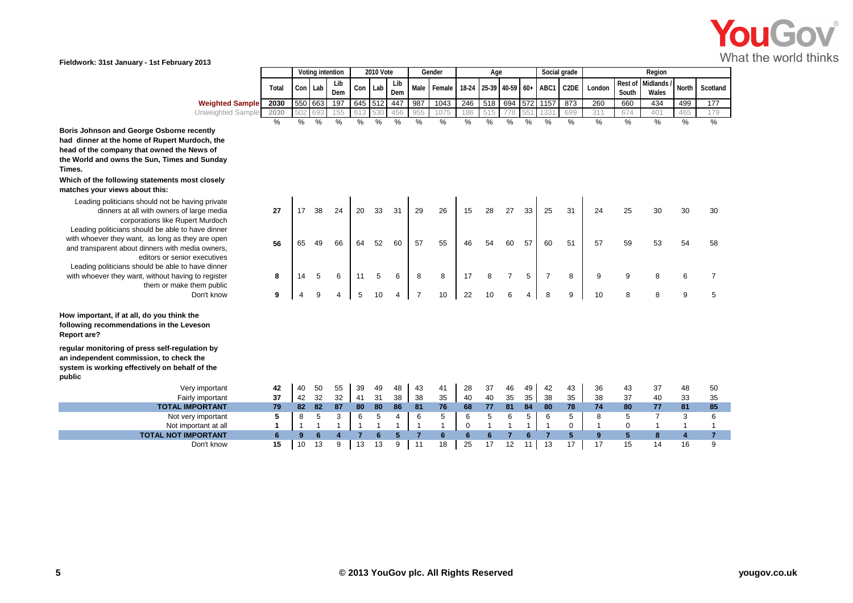

| <b>2010 Vote</b><br>Social grade<br>Votina intention<br>Region<br>Gender<br>Age<br>Lib<br>Lib<br>Rest of Midlands /<br>C <sub>2</sub> DE<br>North<br>Male Female<br>18-24 25-39 40-59 60+ ABC1<br>l Lab<br>Con Lab<br>Con<br>Total<br>London<br>Wales<br>Dem<br>Dem<br>South<br>550 663<br>197<br>518 694<br>645 512<br>2030<br>246<br>572 1157<br>1043<br>987<br>873<br>447<br>260<br>499<br>660<br>434<br>177<br><b>Weighted Sample</b><br>55<br>Unweighted Sample<br>2030<br>075<br>515<br>699<br>465<br>530<br>456<br>955<br>186<br>79<br>502 693<br>67<br>133'<br>401<br>613<br>21<br>- 55<br>%<br>%<br>$\%$<br>%<br>%<br>%<br>$\%$<br>%<br>%<br>$\%$<br>O/2<br>%<br>%<br>℅<br>%<br>% |  |  |  |  |  |  |  |  |  |  |          |
|--------------------------------------------------------------------------------------------------------------------------------------------------------------------------------------------------------------------------------------------------------------------------------------------------------------------------------------------------------------------------------------------------------------------------------------------------------------------------------------------------------------------------------------------------------------------------------------------------------------------------------------------------------------------------------------------|--|--|--|--|--|--|--|--|--|--|----------|
|                                                                                                                                                                                                                                                                                                                                                                                                                                                                                                                                                                                                                                                                                            |  |  |  |  |  |  |  |  |  |  |          |
|                                                                                                                                                                                                                                                                                                                                                                                                                                                                                                                                                                                                                                                                                            |  |  |  |  |  |  |  |  |  |  | Scotland |
|                                                                                                                                                                                                                                                                                                                                                                                                                                                                                                                                                                                                                                                                                            |  |  |  |  |  |  |  |  |  |  |          |
|                                                                                                                                                                                                                                                                                                                                                                                                                                                                                                                                                                                                                                                                                            |  |  |  |  |  |  |  |  |  |  |          |
|                                                                                                                                                                                                                                                                                                                                                                                                                                                                                                                                                                                                                                                                                            |  |  |  |  |  |  |  |  |  |  |          |

**Boris Johnson and George Osborne recently had dinner at the home of Rupert Murdoch, the head of the company that owned the News of the World and owns the Sun, Times and Sunday Times.**

**Which of the following statements most closely matches your views about this:**

Leading politicians should not be having private dinners at all with owners of large media corporations like Rupert Murdoch Leading politicians should be able to have dinner with whoever they want, as long as they are open and transparent about dinners with media owners, editors or senior executives Leading politicians should be able to have dinner with whoever they want, without having to register them or make them public

**How important, if at all, do you think the following recommendations in the Leveson Report are?**

**regular monitoring of press self-regulation by an independent commission, to check the system is working effectively on behalf of the public**

**TOTAL IMPORTANT 79 82 82 87 80 80 86 81 76 68 77 81 84 80 78 74 80 77 81 85**

| nts most closely                                  |    |    |    |    |    |    |    |                |                |          |    |                |                |                |          |    |          |                |    |    |
|---------------------------------------------------|----|----|----|----|----|----|----|----------------|----------------|----------|----|----------------|----------------|----------------|----------|----|----------|----------------|----|----|
|                                                   |    |    |    |    |    |    |    |                |                |          |    |                |                |                |          |    |          |                |    |    |
| t be having private                               |    |    |    |    |    |    |    |                |                |          |    |                |                |                |          |    |          |                |    |    |
| hers of large media                               | 27 | 17 | 38 | 24 | 20 | 33 | 31 | 29             | 26             | 15       | 28 | 27             | 33             | 25             | 31       | 24 | 25       | 30             | 30 | 30 |
| ke Rupert Murdoch                                 |    |    |    |    |    |    |    |                |                |          |    |                |                |                |          |    |          |                |    |    |
| able to have dinner                               |    |    |    |    |    |    |    |                |                |          |    |                |                |                |          |    |          |                |    |    |
| g as they are open                                | 56 | 65 | 49 | 66 | 64 | 52 | 60 | 57             | 55             | 46       | 54 | 60             | 57             | 60             | 51       | 57 | 59       | 53             | 54 | 58 |
| with media owners,                                |    |    |    |    |    |    |    |                |                |          |    |                |                |                |          |    |          |                |    |    |
| r senior executives                               |    |    |    |    |    |    |    |                |                |          |    |                |                |                |          |    |          |                |    |    |
| able to have dinner                               |    |    |    |    |    |    |    |                |                |          |    |                |                |                |          |    |          |                |    |    |
| t having to register                              | 8  | 14 | 5  | 6  | 11 | 5  | 6  | 8              | 8              | 17       | 8  | $\overline{7}$ | 5              | $\overline{7}$ | 8        | 9  | 9        | 8              | 6  |    |
| r make them public                                |    |    |    |    |    |    |    |                |                |          |    |                |                |                |          |    |          |                |    |    |
| Don't know                                        | 9  |    | 9  | 4  | 5  | 10 | 4  | $\overline{7}$ | 10             | 22       | 10 | 6              | $\overline{4}$ | 8              | 9        | 10 | 8        | 8              | 9  | 5  |
| think the                                         |    |    |    |    |    |    |    |                |                |          |    |                |                |                |          |    |          |                |    |    |
| the Leveson                                       |    |    |    |    |    |    |    |                |                |          |    |                |                |                |          |    |          |                |    |    |
| f-regulation by<br>o check the<br>n behalf of the |    |    |    |    |    |    |    |                |                |          |    |                |                |                |          |    |          |                |    |    |
|                                                   |    |    |    |    |    |    |    |                |                |          |    |                |                |                |          |    |          |                |    |    |
| Very important                                    | 42 | 40 | 50 | 55 | 39 | 49 | 48 | 43             | 41             | 28       | 37 | 46             | 49             | 42             | 43       | 36 | 43       | 37             | 48 | 50 |
| Fairly important                                  | 37 | 42 | 32 | 32 | 41 | 31 | 38 | 38             | 35             | 40       | 40 | 35             | 35             | 38             | 35       | 38 | 37       | 40             | 33 | 35 |
| <b>TAL IMPORTANT</b>                              | 79 | 82 | 82 | 87 | 80 | 80 | 86 | 81             | 76             | 68       | 77 | 81             | 84             | 80             | 78       | 74 | 80       | 77             | 81 | 85 |
| Not very important                                | 5  | 8  | 5  | 3  | 6  | 5  | 4  | 6              | 5              | 6        | 5  | 6              | 5              | 6              | 5        | 8  | 5        | $\overline{7}$ | 3  | 6  |
| Not important at all                              | 1  |    |    |    |    |    |    | 1              | $\overline{1}$ | $\Omega$ |    | 1              | 1              |                | $\Omega$ | 1  | $\Omega$ |                | 1  |    |

**TOTAL NOT IMPORTANT 6 9 6 4 7 6 5 7 6 6 6 7 6 7 5 9 5 8 4 7**

Don't know **15** 10 13 9 13 13 9 11 18 25 17 12 11 13 17 17 15 14 16 9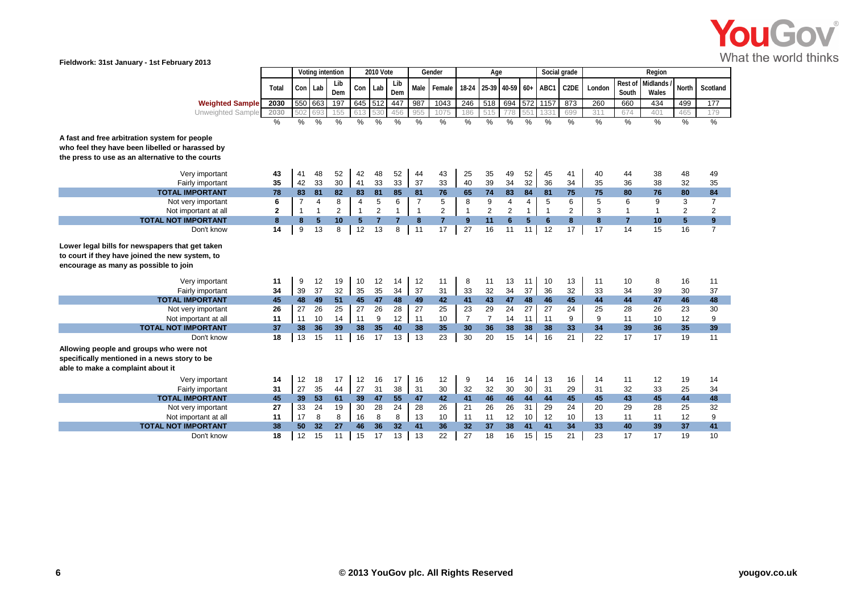

|                                                                                                                                                      |              |                | Voting intention |                |                 | 2010 Vote      |               |                | Gender         |                | Age                        |                |               | Social grade  |                   |        |                  | Region                   |                |                |
|------------------------------------------------------------------------------------------------------------------------------------------------------|--------------|----------------|------------------|----------------|-----------------|----------------|---------------|----------------|----------------|----------------|----------------------------|----------------|---------------|---------------|-------------------|--------|------------------|--------------------------|----------------|----------------|
|                                                                                                                                                      | Total        | Con Lab        |                  | Lib<br>Dem     | Con             | Lab            | Lib<br>Dem    |                | Male Female    |                | 18-24 25-39 40-59 60+ ABC1 |                |               |               | C <sub>2</sub> DE | London | Rest of<br>South | <b>Midlands</b><br>Wales | <b>North</b>   | Scotland       |
| <b>Weighted Sample</b>                                                                                                                               | 2030         | 550 663        |                  | 197            | 645 512         |                | 447           | 987            | 1043           | 246            | 518                        | 694 572 1157   |               |               | 873               | 260    | 660              | 434                      | 499            | 177            |
| Unweighted Sample                                                                                                                                    | 2030         | 502            | 693              | 155            | 613             | 530            | 456           | 955            | 1075           | 186            | 515                        |                |               | 133'          | 699               | 311    | 674              | 401                      | 465            | 179            |
|                                                                                                                                                      | $\%$         | %              | $\%$             | $\frac{0}{0}$  | %               | %              | $\frac{0}{0}$ | %              | %              | %              | %                          | %              | $\frac{9}{6}$ | $\frac{9}{6}$ | $\frac{9}{6}$     | %      | %                | $\frac{0}{2}$            | $\frac{0}{2}$  | %              |
| A fast and free arbitration system for people<br>who feel they have been libelled or harassed by<br>the press to use as an alternative to the courts |              |                |                  |                |                 |                |               |                |                |                |                            |                |               |               |                   |        |                  |                          |                |                |
| Very important                                                                                                                                       | 43           | 41             | 48               | 52             | 42              | 48             | 52            | 44             | 43             | 25             | 35                         | 49             | 52            | 45            | 41                | 40     | 44               | 38                       | 48             | 49             |
| Fairly important                                                                                                                                     | 35           | 42             | 33               | 30             | 41              | 33             | 33            | 37             | 33             | 40             | 39                         | 34             | 32            | 36            | 34                | 35     | 36               | 38                       | 32             | 35             |
| <b>TOTAL IMPORTANT</b>                                                                                                                               | 78           | 83             | 81               | 82             | 83              | 81             | 85            | 81             | 76             | 65             | 74                         | 83             | 84            | 81            | 75                | 75     | 80               | 76                       | 80             | 84             |
| Not very important                                                                                                                                   | 6            | $\overline{7}$ | 4                | 8              | $\overline{4}$  | 5              | 6             | $\overline{7}$ | 5              | 8              | 9                          | $\overline{4}$ | 4             | 5             | 6                 | 5      | 6                | 9                        | 3              | $\overline{7}$ |
| Not important at all                                                                                                                                 | $\mathbf{2}$ | $\mathbf{1}$   | -1               | $\overline{2}$ | $\mathbf{1}$    | $\overline{2}$ | $\mathbf{1}$  | $\overline{1}$ | $\overline{2}$ | $\overline{1}$ | $\overline{2}$             | $\overline{2}$ | $\mathbf{1}$  | $\mathbf{1}$  | $\mathbf{2}$      | 3      |                  | $\mathbf{1}$             | $\overline{2}$ | $\overline{2}$ |
| <b>TOTAL NOT IMPORTANT</b>                                                                                                                           | 8            | 8              | 5                | 10             | $5\phantom{.0}$ | $\overline{7}$ | 7             | 8              | $\overline{7}$ | 9              | 11                         | 6              | 5             | 6             | 8                 | 8      | $\overline{7}$   | 10                       | $5\phantom{1}$ | 9              |
| Don't know                                                                                                                                           | 14           | 9              | 13               | 8              | 12              | 13             | 8             | 11             | 17             | 27             | 16                         | 11             | 11            | 12            | 17                | 17     | 14               | 15                       | 16             | $\overline{7}$ |
| Lower legal bills for newspapers that get taken<br>to court if they have joined the new system, to<br>encourage as many as possible to join          |              |                |                  |                |                 |                |               |                |                |                |                            |                |               |               |                   |        |                  |                          |                |                |
| Very important                                                                                                                                       | 11           | 9              | 12               | 19             | 10              | 12             | 14            | 12             | 11             | 8              | 11                         | 13             | 11            | 10            | 13                | 11     | 10               | 8                        | 16             | 11             |
| Fairly important                                                                                                                                     | 34           | 39             | 37               | 32             | 35              | 35             | 34            | 37             | 31             | 33             | 32                         | 34             | 37            | 36            | 32                | 33     | 34               | 39                       | 30             | 37             |
| <b>TOTAL IMPORTANT</b>                                                                                                                               | 45           | 48             | 49               | 51             | 45              | 47             | 48            | 49             | 42             | 41             | 43                         | 47             | 48            | 46            | 45                | 44     | 44               | 47                       | 46             | 48             |
| Not very important                                                                                                                                   | 26           | 27             | 26               | 25             | 27              | 26             | 28            | 27             | 25             | 23             | 29                         | 24             | 27            | 27            | 24                | 25     | 28               | 26                       | 23             | 30             |
| Not important at all                                                                                                                                 | 11           | 11             | 10               | 14             | 11              | 9              | 12            | 11             | 10             | $\overline{7}$ | $\overline{7}$             | 14             | 11            | 11            | 9                 | 9      | 11               | 10                       | 12             | 9              |
| <b>TOTAL NOT IMPORTANT</b>                                                                                                                           | 37           | 38             | 36               | 39             | 38              | 35             | 40            | 38             | 35             | 30             | 36                         | 38             | 38            | 38            | 33                | 34     | 39               | 36                       | 35             | 39             |
| Don't know                                                                                                                                           | 18           | 13             | 15               | 11             | 16              | 17             | 13            | 13             | 23             | 30             | 20                         | 15             | 14            | 16            | 21                | 22     | 17               | 17                       | 19             | 11             |
| Allowing people and groups who were not<br>specifically mentioned in a news story to be<br>able to make a complaint about it                         |              |                |                  |                |                 |                |               |                |                |                |                            |                |               |               |                   |        |                  |                          |                |                |
| Very important                                                                                                                                       | 14           | 12             | 18               | 17             | 12              | 16             | 17            | 16             | 12             | 9              | 14                         | 16             | 14            | 13            | 16                | 14     | 11               | 12                       | 19             | 14             |
| Fairly important                                                                                                                                     | 31           | 27             | 35               | 44             | 27              | 31             | 38            | 31             | 30             | 32             | 32                         | 30             | 30            | 31            | 29                | 31     | 32               | 33                       | 25             | 34             |
| <b>TOTAL IMPORTANT</b>                                                                                                                               | 45           | 39             | 53               | 61             | 39              | 47             | 55            | 47             | 42             | 41             | 46                         | 46             | 44            | 44            | 45                | 45     | 43               | 45                       | 44             | 48             |
| Not very important                                                                                                                                   | 27           | 33             | 24               | 19             | 30              | 28             | 24            | 28             | 26             | 21             | 26                         | 26             | 31            | 29            | 24                | 20     | 29               | 28                       | 25             | 32             |
| Not important at all                                                                                                                                 | 11           | 17             | 8                | 8              | 16              | 8              | 8             | 13             | 10             | 11             | 11                         | 12             | 10            | 12            | 10                | 13     | 11               | 11                       | 12             | 9              |
| <b>TOTAL NOT IMPORTANT</b>                                                                                                                           | 38           | 50             | 32               | 27             | 46              | 36             | 32            | 41             | 36             | 32             | 37                         | 38             | 41            | 41            | 34                | 33     | 40               | 39                       | 37             | 41             |
| Don't know                                                                                                                                           | 18           | 12             | 15               | 11             | 15              | 17             | 13            | 13             | 22             | 27             | 18                         | 16             | 15            | 15            | 21                | 23     | 17               | 17                       | 19             | 10             |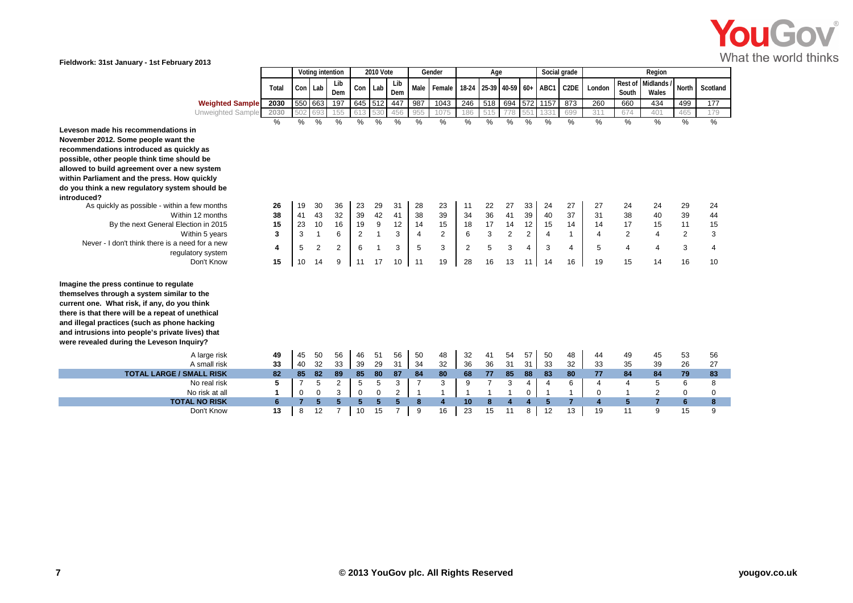

|                                                                                                                                                                                                                                                                                                                                                                                                                                                                                                                                                            |                                        |                                        | Voting intention               |                                                             |                                                     | 2010 Vote                                               |                                                 |                                                     | Gender                                           |                                                 | Age                                 |                                                  |                                                     | Social grade                                        |                                                            |                                     |                                                               | Region                                                        |                                                |                                                              |
|------------------------------------------------------------------------------------------------------------------------------------------------------------------------------------------------------------------------------------------------------------------------------------------------------------------------------------------------------------------------------------------------------------------------------------------------------------------------------------------------------------------------------------------------------------|----------------------------------------|----------------------------------------|--------------------------------|-------------------------------------------------------------|-----------------------------------------------------|---------------------------------------------------------|-------------------------------------------------|-----------------------------------------------------|--------------------------------------------------|-------------------------------------------------|-------------------------------------|--------------------------------------------------|-----------------------------------------------------|-----------------------------------------------------|------------------------------------------------------------|-------------------------------------|---------------------------------------------------------------|---------------------------------------------------------------|------------------------------------------------|--------------------------------------------------------------|
|                                                                                                                                                                                                                                                                                                                                                                                                                                                                                                                                                            | Total                                  | Con Lab                                |                                | Lib<br>Dem                                                  | Con                                                 | Lab                                                     | Lib<br>Dem                                      | Male                                                | Female                                           | 18-24                                           | 25-39 40-59 60+                     |                                                  |                                                     | ABC1                                                | C <sub>2</sub> DE                                          | London                              | Rest of<br>South                                              | Midlands<br>Wales                                             | <b>North</b>                                   | Scotland                                                     |
| <b>Weighted Sample</b>                                                                                                                                                                                                                                                                                                                                                                                                                                                                                                                                     | 2030                                   |                                        | 550 663                        | 197                                                         | 645                                                 | 512                                                     | 447                                             | 987                                                 | 1043                                             | 246                                             | 518                                 | 694                                              | 572 1157                                            |                                                     | 873                                                        | 260                                 | 660                                                           | 434                                                           | 499                                            | 177                                                          |
| Unweighted Sample                                                                                                                                                                                                                                                                                                                                                                                                                                                                                                                                          | 2030                                   | 502                                    |                                | 155                                                         | 613                                                 | 530                                                     | 456                                             | 955                                                 | 1075                                             | 186                                             |                                     | 778                                              | 551                                                 | 133'                                                | 699                                                        | 311                                 | 674                                                           | 401                                                           | 465                                            | 179                                                          |
| Leveson made his recommendations in<br>November 2012. Some people want the<br>recommendations introduced as quickly as<br>possible, other people think time should be<br>allowed to build agreement over a new system<br>within Parliament and the press. How quickly<br>do you think a new regulatory system should be<br>introduced?<br>As quickly as possible - within a few months<br>Within 12 months<br>By the next General Election in 2015<br>Within 5 years<br>Never - I don't think there is a need for a new<br>regulatory system<br>Don't Know | $\%$<br>26<br>38<br>15<br>3<br>4<br>15 | $\%$<br>19<br>41<br>23<br>3<br>5<br>10 | %<br>30<br>43<br>10<br>2<br>14 | $\frac{0}{0}$<br>36<br>32<br>16<br>6<br>$\overline{2}$<br>9 | $\%$<br>23<br>39<br>19<br>$\overline{2}$<br>6<br>11 | %<br>29<br>42<br>$\boldsymbol{9}$<br>$\mathbf{1}$<br>17 | $\frac{0}{0}$<br>31<br>41<br>12<br>3<br>3<br>10 | $\%$<br>28<br>38<br>14<br>$\overline{4}$<br>5<br>11 | %<br>23<br>39<br>15<br>$\overline{2}$<br>3<br>19 | $\frac{0}{0}$<br>11<br>34<br>18<br>6<br>2<br>28 | %<br>22<br>36<br>17<br>3<br>5<br>16 | %<br>27<br>41<br>14<br>$\overline{2}$<br>3<br>13 | $\%$<br>33<br>39<br>12<br>2<br>$\overline{4}$<br>11 | $\%$<br>24<br>40<br>15<br>$\overline{4}$<br>3<br>14 | $\frac{0}{0}$<br>27<br>37<br>14<br>$\mathbf{1}$<br>4<br>16 | %<br>27<br>31<br>14<br>4<br>5<br>19 | %<br>24<br>38<br>17<br>$\overline{2}$<br>$\overline{4}$<br>15 | %<br>24<br>40<br>15<br>$\overline{4}$<br>$\overline{4}$<br>14 | %<br>29<br>39<br>11<br>$\mathbf{2}$<br>3<br>16 | $\frac{0}{0}$<br>24<br>44<br>15<br>3<br>$\overline{4}$<br>10 |
| Imagine the press continue to regulate<br>themselves through a system similar to the<br>current one. What risk, if any, do you think<br>there is that there will be a repeat of unethical<br>and illegal practices (such as phone hacking<br>and intrusions into people's private lives) that<br>were revealed during the Leveson Inquiry?<br>A large risk<br>A small risk                                                                                                                                                                                 | 49<br>33                               | 45<br>40                               | 50<br>32                       | 56<br>33                                                    | 46<br>39                                            | 51<br>29                                                | 56<br>31                                        | 50<br>34                                            | 48<br>32                                         | 32<br>36                                        | 41<br>36                            | 54<br>31                                         | 57<br>31                                            | 50<br>33                                            | 48<br>32                                                   | 44<br>33                            | 49<br>35                                                      | 45<br>39                                                      | 53<br>26                                       | 56<br>27                                                     |
| <b>TOTAL LARGE / SMALL RISK</b>                                                                                                                                                                                                                                                                                                                                                                                                                                                                                                                            | 82                                     | 85                                     | 82                             | 89                                                          | 85                                                  | 80                                                      | 87                                              | 84                                                  | 80                                               | 68                                              | 77                                  | 85                                               | 88                                                  | 83                                                  | 80                                                         | 77                                  | 84                                                            | 84                                                            | 79                                             | 83                                                           |
| No real risk                                                                                                                                                                                                                                                                                                                                                                                                                                                                                                                                               | 5                                      | $\overline{7}$                         | 5                              | 2                                                           | 5                                                   | 5                                                       | 3                                               | $\overline{7}$                                      | 3                                                | 9                                               | $\overline{7}$                      | 3                                                | $\overline{4}$                                      | $\overline{4}$                                      | 6                                                          | 4                                   | $\overline{4}$                                                | 5                                                             | 6                                              | 8                                                            |
| No risk at all                                                                                                                                                                                                                                                                                                                                                                                                                                                                                                                                             | 1                                      | 0                                      | 0                              | 3                                                           | $\mathbf 0$                                         | $\Omega$                                                | $\overline{2}$                                  | $\mathbf{1}$                                        | $\mathbf{1}$                                     | $\overline{\mathbf{1}}$                         |                                     |                                                  | 0                                                   | $\mathbf{1}$                                        | 1                                                          | 0                                   |                                                               | 2                                                             | 0                                              | 0                                                            |
| <b>TOTAL NO RISK</b>                                                                                                                                                                                                                                                                                                                                                                                                                                                                                                                                       | 6                                      | 7                                      | 5                              | $5\phantom{1}$                                              | 5                                                   | 5                                                       | 5                                               | 8                                                   | $\overline{4}$                                   | 10                                              | 8                                   |                                                  |                                                     | 5                                                   | $\overline{7}$                                             | 4                                   | 5                                                             | $\overline{7}$                                                | 6                                              | 8                                                            |
| Don't Know                                                                                                                                                                                                                                                                                                                                                                                                                                                                                                                                                 | 13                                     | 8                                      | 12                             | $\overline{7}$                                              | 10                                                  | 15                                                      | $\overline{7}$                                  | 9                                                   | 16                                               | 23                                              | 15                                  | 11                                               | 8                                                   | 12                                                  | 13                                                         | 19                                  | 11                                                            | 9                                                             | 15                                             | 9                                                            |